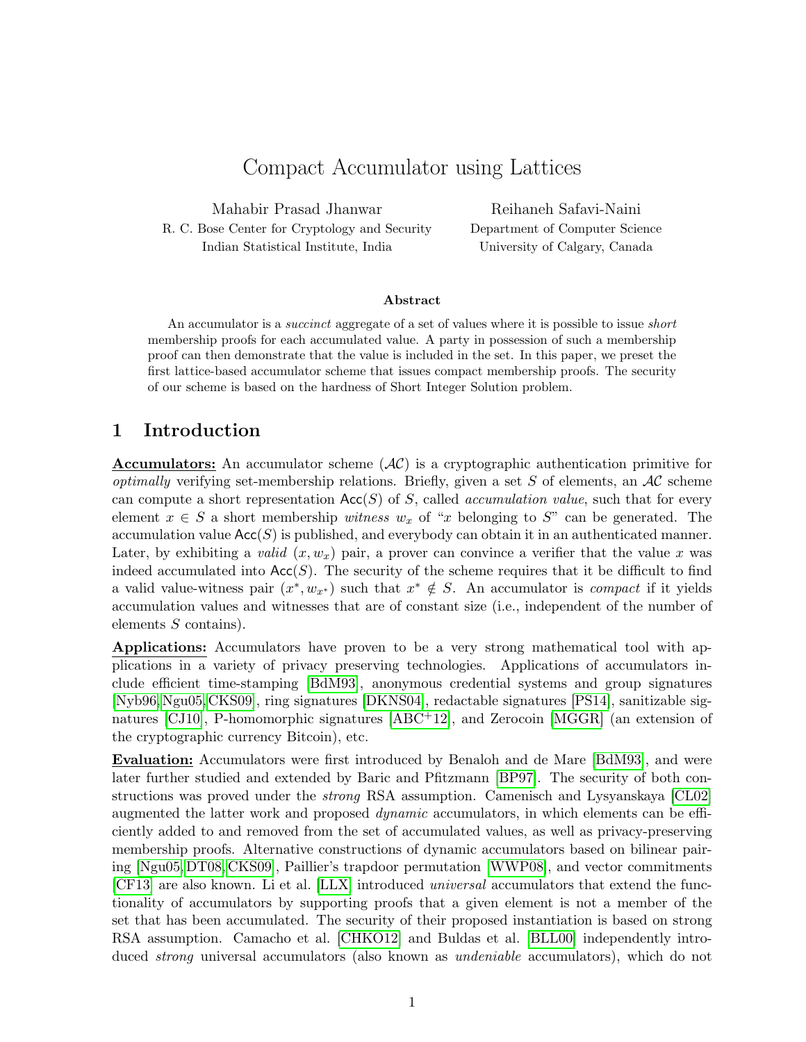# Compact Accumulator using Lattices

Mahabir Prasad Jhanwar R. C. Bose Center for Cryptology and Security Indian Statistical Institute, India

Reihaneh Safavi-Naini Department of Computer Science University of Calgary, Canada

#### Abstract

An accumulator is a *succinct* aggregate of a set of values where it is possible to issue *short* membership proofs for each accumulated value. A party in possession of such a membership proof can then demonstrate that the value is included in the set. In this paper, we preset the first lattice-based accumulator scheme that issues compact membership proofs. The security of our scheme is based on the hardness of Short Integer Solution problem.

## 1 Introduction

**Accumulators:** An accumulator scheme  $(\mathcal{AC})$  is a cryptographic authentication primitive for *optimally* verifying set-membership relations. Briefly, given a set S of elements, an  $AC$  scheme can compute a short representation  $Acc(S)$  of S, called *accumulation value*, such that for every element  $x \in S$  a short membership witness  $w_x$  of "x belonging to S" can be generated. The accumulation value  $Acc(S)$  is published, and everybody can obtain it in an authenticated manner. Later, by exhibiting a valid  $(x, w_x)$  pair, a prover can convince a verifier that the value x was indeed accumulated into  $Acc(S)$ . The security of the scheme requires that it be difficult to find a valid value-witness pair  $(x^*, w_{x^*})$  such that  $x^* \notin S$ . An accumulator is *compact* if it yields accumulation values and witnesses that are of constant size (i.e., independent of the number of elements S contains).

Applications: Accumulators have proven to be a very strong mathematical tool with applications in a variety of privacy preserving technologies. Applications of accumulators include efficient time-stamping [\[BdM93\]](#page-9-0), anonymous credential systems and group signatures [\[Nyb96,](#page-10-0)[Ngu05,](#page-10-1)[CKS09\]](#page-9-1), ring signatures [\[DKNS04\]](#page-9-2), redactable signatures [\[PS14\]](#page-10-2), sanitizable signatures [\[CJ10\]](#page-9-3), P-homomorphic signatures [\[ABC](#page-8-0)+12], and Zerocoin [\[MGGR\]](#page-10-3) (an extension of the cryptographic currency Bitcoin), etc.

Evaluation: Accumulators were first introduced by Benaloh and de Mare [\[BdM93\]](#page-9-0), and were later further studied and extended by Baric and Pfitzmann [\[BP97\]](#page-9-4). The security of both constructions was proved under the strong RSA assumption. Camenisch and Lysyanskaya [\[CL02\]](#page-9-5) augmented the latter work and proposed dynamic accumulators, in which elements can be efficiently added to and removed from the set of accumulated values, as well as privacy-preserving membership proofs. Alternative constructions of dynamic accumulators based on bilinear pairing [\[Ngu05,](#page-10-1) [DT08,](#page-9-6) [CKS09\]](#page-9-1), Paillier's trapdoor permutation [\[WWP08\]](#page-10-4), and vector commitments [\[CF13\]](#page-9-7) are also known. Li et al. [\[LLX\]](#page-10-5) introduced universal accumulators that extend the functionality of accumulators by supporting proofs that a given element is not a member of the set that has been accumulated. The security of their proposed instantiation is based on strong RSA assumption. Camacho et al. [\[CHKO12\]](#page-9-8) and Buldas et al. [\[BLL00\]](#page-9-9) independently introduced strong universal accumulators (also known as undeniable accumulators), which do not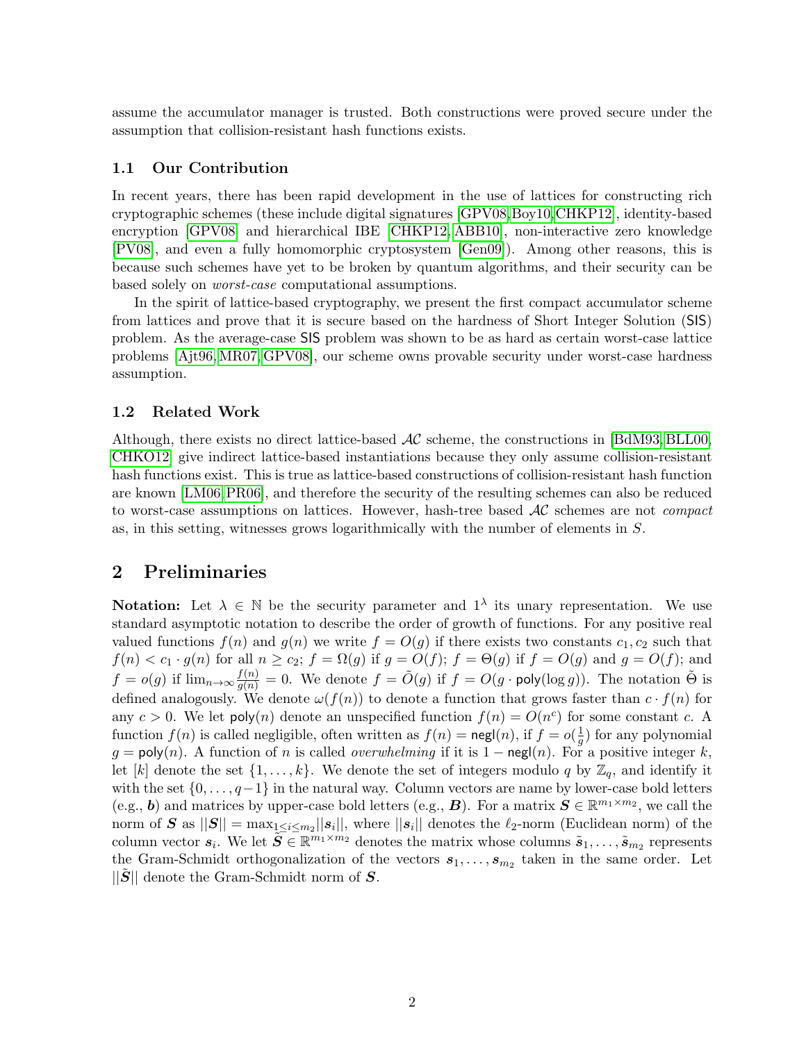assume the accumulator manager is trusted. Both constructions were proved secure under the assumption that collision-resistant hash functions exists.

#### 1.1 Our Contribution

In recent years, there has been rapid development in the use of lattices for constructing rich cryptographic schemes (these include digital signatures [\[GPV08,](#page-10-6)[Boy10,](#page-9-10)[CHKP12\]](#page-9-11), identity-based encryption [\[GPV08\]](#page-10-6) and hierarchical IBE [\[CHKP12,](#page-9-11) [ABB10\]](#page-8-1), non-interactive zero knowledge [\[PV08\]](#page-10-7), and even a fully homomorphic cryptosystem [\[Gen09\]](#page-10-8)). Among other reasons, this is because such schemes have yet to be broken by quantum algorithms, and their security can be based solely on worst-case computational assumptions.

In the spirit of lattice-based cryptography, we present the first compact accumulator scheme from lattices and prove that it is secure based on the hardness of Short Integer Solution (SIS) problem. As the average-case SIS problem was shown to be as hard as certain worst-case lattice problems [\[Ajt96,](#page-9-12)[MR07,](#page-10-9) [GPV08\]](#page-10-6), our scheme owns provable security under worst-case hardness assumption.

#### 1.2 Related Work

Although, there exists no direct lattice-based  $AC$  scheme, the constructions in [\[BdM93,](#page-9-0) [BLL00,](#page-9-9) [CHKO12\]](#page-9-8) give indirect lattice-based instantiations because they only assume collision-resistant hash functions exist. This is true as lattice-based constructions of collision-resistant hash function are known [\[LM06,](#page-10-10)[PR06\]](#page-10-11), and therefore the security of the resulting schemes can also be reduced to worst-case assumptions on lattices. However, hash-tree based  $AC$  schemes are not *compact* as, in this setting, witnesses grows logarithmically with the number of elements in S.

# 2 Preliminaries

**Notation:** Let  $\lambda \in \mathbb{N}$  be the security parameter and  $1^{\lambda}$  its unary representation. We use standard asymptotic notation to describe the order of growth of functions. For any positive real valued functions  $f(n)$  and  $g(n)$  we write  $f = O(g)$  if there exists two constants  $c_1, c_2$  such that  $f(n) < c_1 \cdot g(n)$  for all  $n \ge c_2$ ;  $f = \Omega(g)$  if  $g = O(f)$ ;  $f = \Theta(g)$  if  $f = O(g)$  and  $g = O(f)$ ; and  $f = o(g)$  if  $\lim_{n \to \infty} \frac{f(n)}{g(n)} = 0$ . We denote  $f = \tilde{O}(g)$  if  $f = O(g \cdot \text{poly}(\log g))$ . The notation  $\tilde{\Theta}$  is defined analogously. We denote  $\omega(f(n))$  to denote a function that grows faster than  $c \cdot f(n)$  for any  $c > 0$ . We let poly $(n)$  denote an unspecified function  $f(n) = O(n^c)$  for some constant c. A function  $f(n)$  is called negligible, often written as  $f(n) = \text{negl}(n)$ , if  $f = o(\frac{1}{a})$  $\frac{1}{g}$ ) for any polynomial g = poly(n). A function of n is called *overwhelming* if it is  $1 - \text{negl}(n)$ . For a positive integer k, let [k] denote the set  $\{1, \ldots, k\}$ . We denote the set of integers modulo q by  $\mathbb{Z}_q$ , and identify it with the set  $\{0, \ldots, q-1\}$  in the natural way. Column vectors are name by lower-case bold letters (e.g., b) and matrices by upper-case bold letters (e.g., B). For a matrix  $S \in \mathbb{R}^{m_1 \times m_2}$ , we call the norm of S as  $||S|| = \max_{1 \leq i \leq m_2} ||s_i||$ , where  $||s_i||$  denotes the  $\ell_2$ -norm (Euclidean norm) of the column vector  $s_i$ . We let  $\widetilde{S} \in \mathbb{R}^{m_1 \times m_2}$  denotes the matrix whose columns  $\widetilde{s}_1, \ldots, \widetilde{s}_{m_2}$  represents the Gram-Schmidt orthogonalization of the vectors  $s_1, \ldots, s_{m_2}$  taken in the same order. Let  $||S||$  denote the Gram-Schmidt norm of S.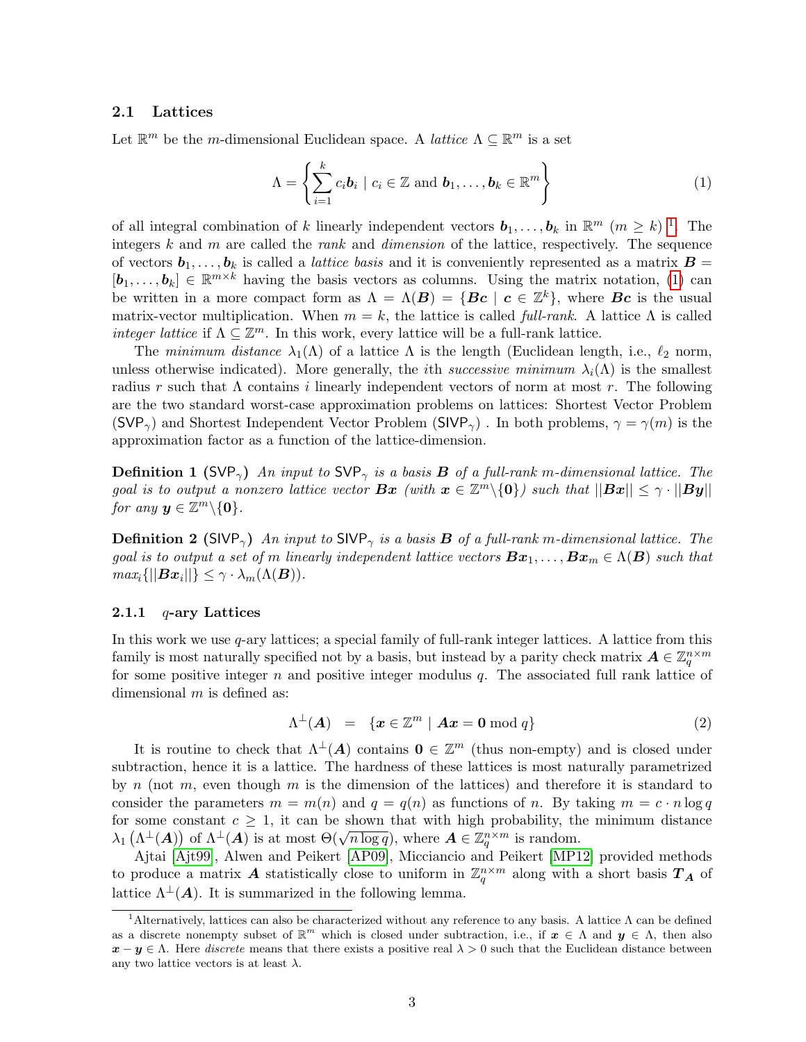#### 2.1 Lattices

Let  $\mathbb{R}^m$  be the *m*-dimensional Euclidean space. A *lattice*  $\Lambda \subseteq \mathbb{R}^m$  is a set

<span id="page-2-1"></span>
$$
\Lambda = \left\{ \sum_{i=1}^{k} c_i \mathbf{b}_i \mid c_i \in \mathbb{Z} \text{ and } \mathbf{b}_1, \ldots, \mathbf{b}_k \in \mathbb{R}^m \right\}
$$
(1)

of all integral combination of k linearly independent vectors  $\mathbf{b}_1, \ldots, \mathbf{b}_k$  $\mathbf{b}_1, \ldots, \mathbf{b}_k$  $\mathbf{b}_1, \ldots, \mathbf{b}_k$  in  $\mathbb{R}^m$   $(m \geq k)$  <sup>1</sup>. The integers k and m are called the rank and dimension of the lattice, respectively. The sequence of vectors  $b_1, \ldots, b_k$  is called a *lattice basis* and it is conveniently represented as a matrix  $B =$  $[\boldsymbol{b}_1,\ldots,\boldsymbol{b}_k] \in \mathbb{R}^{m \times k}$  having the basis vectors as columns. Using the matrix notation, [\(1\)](#page-2-1) can be written in a more compact form as  $\Lambda = \Lambda(B) = \{Bc \mid c \in \mathbb{Z}^k\}$ , where  $Bc$  is the usual matrix-vector multiplication. When  $m = k$ , the lattice is called full-rank. A lattice  $\Lambda$  is called *integer lattice* if  $\Lambda \subseteq \mathbb{Z}^m$ . In this work, every lattice will be a full-rank lattice.

The minimum distance  $\lambda_1(\Lambda)$  of a lattice  $\Lambda$  is the length (Euclidean length, i.e.,  $\ell_2$  norm, unless otherwise indicated). More generally, the *i*th *successive minimum*  $\lambda_i(\Lambda)$  is the smallest radius r such that  $\Lambda$  contains i linearly independent vectors of norm at most r. The following are the two standard worst-case approximation problems on lattices: Shortest Vector Problem (SVP<sub> $\gamma$ </sub>) and Shortest Independent Vector Problem (SIVP<sub> $\gamma$ </sub>). In both problems,  $\gamma = \gamma(m)$  is the approximation factor as a function of the lattice-dimension.

**Definition 1 (SVP<sub>γ</sub>)** An input to SVP<sub>γ</sub> is a basis **B** of a full-rank m-dimensional lattice. The goal is to output a nonzero lattice vector  $Bx$  (with  $x \in \mathbb{Z}^m \setminus \{0\}$ ) such that  $||Bx|| \leq \gamma \cdot ||By||$ for any  $y \in \mathbb{Z}^m \backslash \{0\}.$ 

**Definition 2** (SIVP<sub> $\gamma$ </sub>) An input to SIVP<sub> $\gamma$ </sub> is a basis **B** of a full-rank m-dimensional lattice. The goal is to output a set of m linearly independent lattice vectors  $Bx_1, \ldots, Bx_m \in \Lambda(B)$  such that  $max_i \{||\boldsymbol{B}\boldsymbol{x}_i||\} \leq \gamma \cdot \lambda_m(\Lambda(\boldsymbol{B})).$ 

#### 2.1.1  $q$ -ary Lattices

In this work we use  $q$ -ary lattices; a special family of full-rank integer lattices. A lattice from this family is most naturally specified not by a basis, but instead by a parity check matrix  $\mathbf{A} \in \mathbb{Z}_q^{n \times m}$ for some positive integer  $n$  and positive integer modulus  $q$ . The associated full rank lattice of dimensional  $m$  is defined as:

$$
\Lambda^{\perp}(\mathbf{A}) = \{ \mathbf{x} \in \mathbb{Z}^m \mid \mathbf{A}\mathbf{x} = \mathbf{0} \bmod q \}
$$
 (2)

It is routine to check that  $\Lambda^{\perp}(A)$  contains  $0 \in \mathbb{Z}^m$  (thus non-empty) and is closed under subtraction, hence it is a lattice. The hardness of these lattices is most naturally parametrized by n (not m, even though m is the dimension of the lattices) and therefore it is standard to consider the parameters  $m = m(n)$  and  $q = q(n)$  as functions of n. By taking  $m = c \cdot n \log q$ for some constant  $c \geq 1$ , it can be shown that with high probability, the minimum distance Lot some constant  $c \geq 1$ , it can be shown that with ligh probability, the  $\lambda_1(\Lambda^{\perp}(A))$  of  $\Lambda^{\perp}(A)$  is at most  $\Theta(\sqrt{n \log q})$ , where  $A \in \mathbb{Z}_q^{n \times m}$  is random.

Ajtai [\[Ajt99\]](#page-9-13), Alwen and Peikert [\[AP09\]](#page-9-14), Micciancio and Peikert [\[MP12\]](#page-10-12) provided methods to produce a matrix A statistically close to uniform in  $\mathbb{Z}_q^{n \times m}$  along with a short basis  $T_A$  of lattice  $\Lambda^{\perp}(A)$ . It is summarized in the following lemma.

<span id="page-2-2"></span><span id="page-2-0"></span><sup>&</sup>lt;sup>1</sup>Alternatively, lattices can also be characterized without any reference to any basis. A lattice Λ can be defined as a discrete nonempty subset of  $\mathbb{R}^m$  which is closed under subtraction, i.e., if  $x \in \Lambda$  and  $y \in \Lambda$ , then also  $x - y \in \Lambda$ . Here *discrete* means that there exists a positive real  $\lambda > 0$  such that the Euclidean distance between any two lattice vectors is at least  $\lambda$ .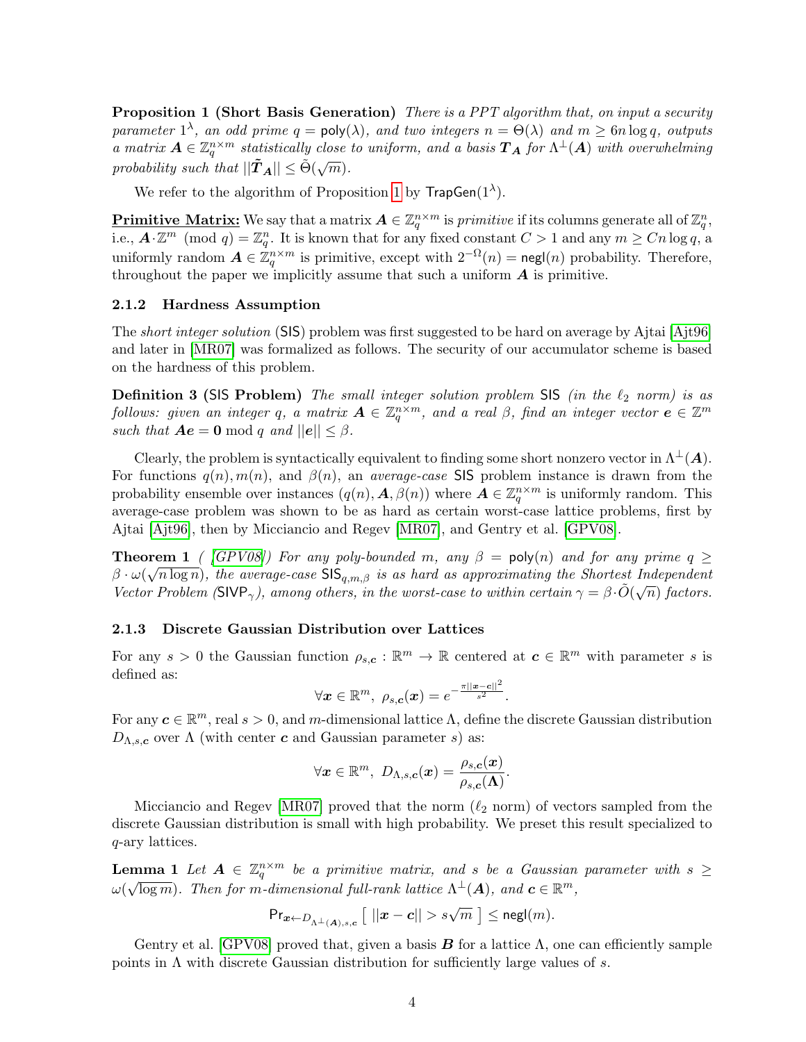**Proposition 1 (Short Basis Generation)** There is a PPT algorithm that, on input a security parameter  $1^{\lambda}$ , an odd prime  $q = \text{poly}(\lambda)$ , and two integers  $n = \Theta(\lambda)$  and  $m \ge 6n \log q$ , outputs a matrix  $A \in \mathbb{Z}_q^{n \times m}$  statistically close to uniform, and a basis  $T_A$  for  $\Lambda^{\perp}(A)$  with overwhelming probability such that  $||\tilde{T}_A|| \leq \tilde{\Theta}(\sqrt{m}).$ 

We refer to the algorithm of Proposition [1](#page-2-2) by  $\mathsf{TrapGen}(1^{\lambda})$ .

**Primitive Matrix:** We say that a matrix  $A \in \mathbb{Z}_q^{n \times m}$  is *primitive* if its columns generate all of  $\mathbb{Z}_q^n$ , i.e.,  $\mathbf{A} \cdot \mathbb{Z}^m$  (mod  $q) = \mathbb{Z}_q^n$ . It is known that for any fixed constant  $C > 1$  and any  $m \geq C n \log q$ , a uniformly random  $\mathbf{A} \in \mathbb{Z}_q^{n \times m}$  is primitive, except with  $2^{-\Omega}(n) = \mathsf{negl}(n)$  probability. Therefore, throughout the paper we implicitly assume that such a uniform  $A$  is primitive.

#### 2.1.2 Hardness Assumption

The *short integer solution* (SIS) problem was first suggested to be hard on average by Ajtai [\[Ajt96\]](#page-9-12) and later in [\[MR07\]](#page-10-9) was formalized as follows. The security of our accumulator scheme is based on the hardness of this problem.

**Definition 3 (SIS Problem)** The small integer solution problem SIS (in the  $\ell_2$  norm) is as follows: given an integer q, a matrix  $\bm A\in \mathbb Z_q^{n\times m}$ , and a real  $\beta$ , find an integer vector  $\bm e\in \mathbb Z^m$ such that  $Ae = 0 \mod q$  and  $||e|| \leq \beta$ .

Clearly, the problem is syntactically equivalent to finding some short nonzero vector in  $\Lambda^{\perp}(A)$ . For functions  $q(n)$ ,  $m(n)$ , and  $\beta(n)$ , an *average-case* SIS problem instance is drawn from the probability ensemble over instances  $(q(n), A, \beta(n))$  where  $A \in \mathbb{Z}_q^{n \times m}$  is uniformly random. This average-case problem was shown to be as hard as certain worst-case lattice problems, first by Ajtai [\[Ajt96\]](#page-9-12), then by Micciancio and Regev [\[MR07\]](#page-10-9), and Gentry et al. [\[GPV08\]](#page-10-6).

<span id="page-3-1"></span>**Theorem 1** ([\[GPV08\]](#page-10-6)) For any poly-bounded m, any  $\beta = \text{poly}(n)$  and for any prime  $q \geq$  $\beta \cdot \omega(\sqrt{n \log n})$ , the average-case  $\text{SIS}_{q,m,\beta}$  is as hard as approximating the Shortest Independent Vector Problem (SIVP<sub> $\gamma$ </sub>), among others, in the worst-case to within certain  $\gamma = \beta \cdot \tilde{O}(\sqrt{n})$  factors.

#### 2.1.3 Discrete Gaussian Distribution over Lattices

For any  $s > 0$  the Gaussian function  $\rho_{s,c} : \mathbb{R}^m \to \mathbb{R}$  centered at  $c \in \mathbb{R}^m$  with parameter s is defined as:

$$
\forall \boldsymbol{x} \in \mathbb{R}^m, \ \rho_{s,\boldsymbol{c}}(\boldsymbol{x}) = e^{-\frac{\pi ||\boldsymbol{x}-\boldsymbol{c}||^2}{s^2}}.
$$

For any  $c \in \mathbb{R}^m$ , real  $s > 0$ , and m-dimensional lattice  $\Lambda$ , define the discrete Gaussian distribution  $D_{\Lambda,s,c}$  over  $\Lambda$  (with center c and Gaussian parameter s) as:

$$
\forall \boldsymbol{x}\in\mathbb{R}^m, \,\, D_{\Lambda,s,\boldsymbol{c}}(\boldsymbol{x})=\frac{\rho_{s,\boldsymbol{c}}(\boldsymbol{x})}{\rho_{s,\boldsymbol{c}}(\boldsymbol{\Lambda})}.
$$

Micciancio and Regev [\[MR07\]](#page-10-9) proved that the norm  $(\ell_2 \text{ norm})$  of vectors sampled from the discrete Gaussian distribution is small with high probability. We preset this result specialized to q-ary lattices.

<span id="page-3-0"></span>**Lemma 1** Let  $A \in \mathbb{Z}_q^{n \times m}$  be a primitive matrix, and s be a Gaussian parameter with  $s \geq$  $\omega(\sqrt{\log m})$ . Then for m-dimensional full-rank lattice  $\Lambda^{\perp}(A)$ , and  $\boldsymbol{c} \in \mathbb{R}^m$ ,

$$
\mathsf{Pr}_{\mathbf{x} \leftarrow D_{\Lambda^\perp(\mathbf{A}), s, \mathbf{c}}}\left[ \ ||\mathbf{x} - \mathbf{c}|| > s\sqrt{m} \ \right] \leq \mathsf{negl}(m).
$$

Gentry et al. [\[GPV08\]](#page-10-6) proved that, given a basis **B** for a lattice  $\Lambda$ , one can efficiently sample points in  $\Lambda$  with discrete Gaussian distribution for sufficiently large values of s.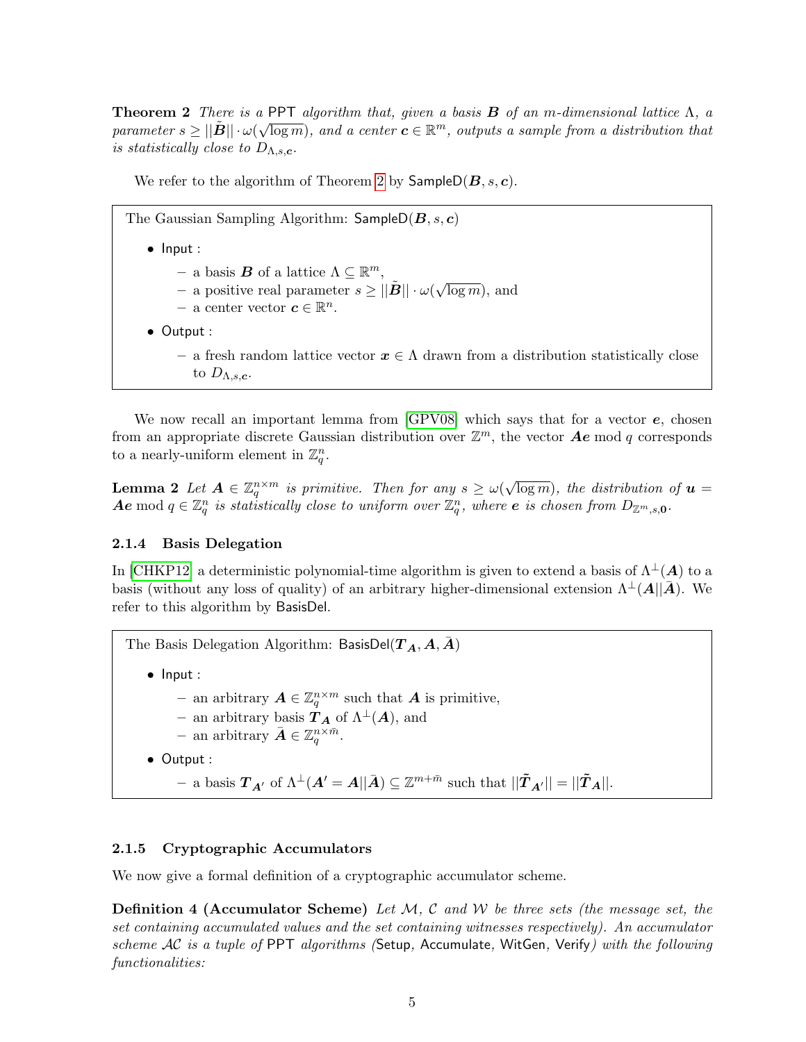<span id="page-4-0"></span>**Theorem 2** There is a PPT algorithm that, given a basis **B** of an m-dimensional lattice  $\Lambda$ , a parameter  $s \geq ||\tilde{B}|| \cdot \omega(\sqrt{\log m})$ , and a center  $c \in \mathbb{R}^m$ , outputs a sample from a distribution that is statistically close to  $D_{\Lambda,s,c}$ .

We refer to the algorithm of Theorem [2](#page-4-0) by  $\mathsf{SampleD}(B, s, c)$ .

The Gaussian Sampling Algorithm:  $SampleD(B, s, c)$ 

- Input :
	- $-$  a basis **B** of a lattice  $\Lambda \subseteq \mathbb{R}^m$ ,
	- $-$  a positive real parameter  $s \ge ||\tilde{\boldsymbol{B}}|| \cdot \omega(\sqrt{\epsilon})$  $\overline{\log m}$ ), and
	- − a center vector  $c \in \mathbb{R}^n$ .
- Output :
	- a fresh random lattice vector  $x \in \Lambda$  drawn from a distribution statistically close to  $D_{\Lambda,s,c}$ .

We now recall an important lemma from  $[GPV08]$  which says that for a vector  $e$ , chosen from an appropriate discrete Gaussian distribution over  $\mathbb{Z}^m$ , the vector  $\mathbf{A}\mathbf{e}$  mod q corresponds to a nearly-uniform element in  $\mathbb{Z}_q^n$ .

<span id="page-4-2"></span>**Lemma 2** Let  $A \in \mathbb{Z}_q^{n \times m}$  is primitive. Then for any  $s \geq \omega(k)$ √  $\overline{\log m}$ ), the distribution of  $\boldsymbol{u} =$  $\boldsymbol{Ae} \bmod q \in \mathbb{Z}_q^n$  is statistically close to uniform over  $\mathbb{Z}_q^n$ , where  $\boldsymbol{e}$  is chosen from  $D_{\mathbb{Z}^m,s,\boldsymbol{0}}$ .

#### <span id="page-4-1"></span>2.1.4 Basis Delegation

In [\[CHKP12\]](#page-9-11) a deterministic polynomial-time algorithm is given to extend a basis of  $\Lambda^{\perp}(A)$  to a basis (without any loss of quality) of an arbitrary higher-dimensional extension  $\Lambda^{\perp}(A||\overline{A})$ . We refer to this algorithm by BasisDel.

The Basis Delegation Algorithm: BasisDel( $T_A, A, \overline{A}$ )

- Input :
	- − an arbitrary  $A \in \mathbb{Z}_q^{n \times m}$  such that  $A$  is primitive,
	- an arbitrary basis  $T_A$  of  $\Lambda^{\perp}(A)$ , and
	- an arbitrary  $\bar{\boldsymbol{A}} \in \mathbb{Z}_q^{n \times \bar{m}}$ .
- Output :
	- $-$  a basis  $T_{A'}$  of  $\Lambda^{\perp}(A' = A||\bar{A}) \subseteq \mathbb{Z}^{m+\bar{m}}$  such that  $||\tilde{T}_{A'}|| = ||\tilde{T}_A||$ .

#### 2.1.5 Cryptographic Accumulators

We now give a formal definition of a cryptographic accumulator scheme.

**Definition 4 (Accumulator Scheme)** Let  $M$ , C and W be three sets (the message set, the set containing accumulated values and the set containing witnesses respectively). An accumulator scheme AC is a tuple of PPT algorithms (Setup, Accumulate, WitGen, Verify) with the following functionalities: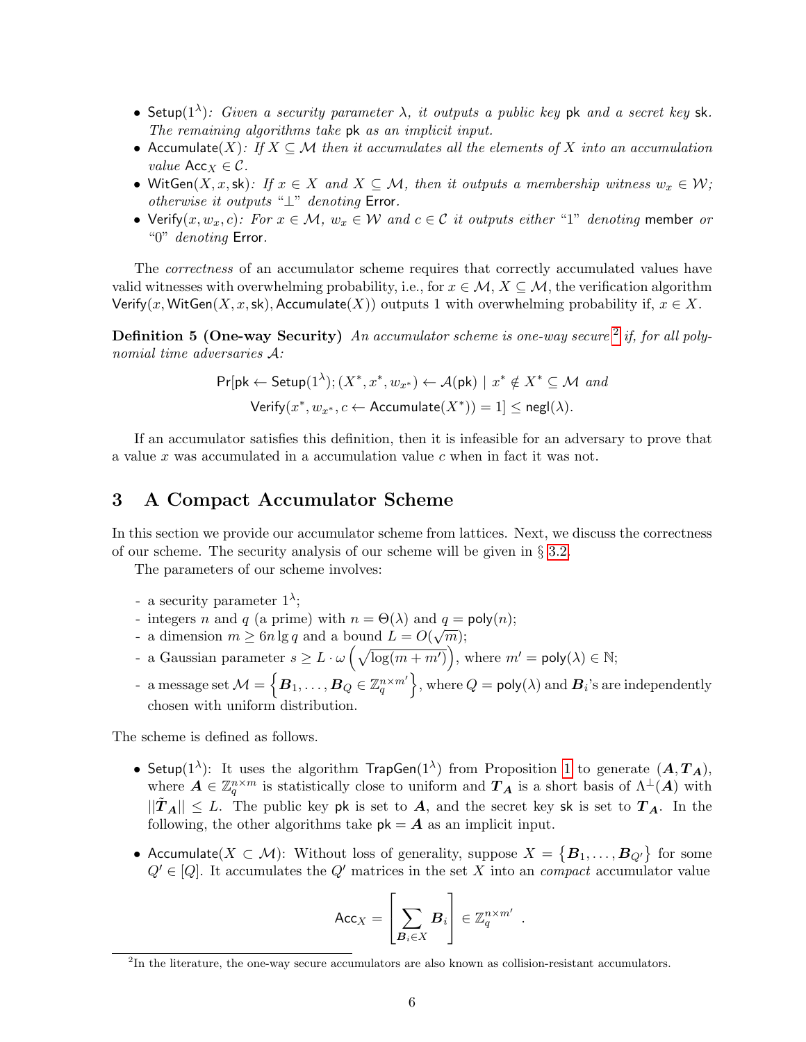- Setup( $1^{\lambda}$ ): Given a security parameter  $\lambda$ , it outputs a public key pk and a secret key sk. The remaining algorithms take pk as an implicit input.
- Accumulate(X): If  $X \subseteq \mathcal{M}$  then it accumulates all the elements of X into an accumulation *value* Acc<sub>*X*</sub>  $\in \mathcal{C}$ .
- WitGen $(X, x, sk)$ : If  $x \in X$  and  $X \subseteq M$ , then it outputs a membership witness  $w_x \in W$ ; otherwise it outputs "⊥" denoting Error.
- Verify $(x, w_x, c)$ : For  $x \in M$ ,  $w_x \in W$  and  $c \in C$  it outputs either "1" denoting member or "0" denoting Error.

The *correctness* of an accumulator scheme requires that correctly accumulated values have valid witnesses with overwhelming probability, i.e., for  $x \in \mathcal{M}, X \subseteq \mathcal{M}$ , the verification algorithm Verify(x, WitGen(X, x, sk), Accumulate(X)) outputs 1 with overwhelming probability if,  $x \in X$ .

**Definition 5 (One-way Security)** An accumulator scheme is one-way secure  $2$  if, for all polynomial time adversaries A:

$$
\Pr[\mathsf{pk} \leftarrow \mathsf{Setup}(1^{\lambda}); (X^*, x^*, w_{x^*}) \leftarrow \mathcal{A}(\mathsf{pk}) \mid x^* \notin X^* \subseteq \mathcal{M} \text{ and }
$$

$$
\mathsf{Verify}(x^*, w_{x^*}, c \leftarrow \mathsf{Accumulate}(X^*)) = 1] \le \mathsf{negl}(\lambda).
$$

If an accumulator satisfies this definition, then it is infeasible for an adversary to prove that a value  $x$  was accumulated in a accumulation value  $c$  when in fact it was not.

### 3 A Compact Accumulator Scheme

In this section we provide our accumulator scheme from lattices. Next, we discuss the correctness of our scheme. The security analysis of our scheme will be given in  $\S 3.2$ .

The parameters of our scheme involves:

- a security parameter  $1^{\lambda}$ ;
- integers n and q (a prime) with  $n = \Theta(\lambda)$  and  $q = \text{poly}(n);$
- a dimension  $m \geq 6n \lg q$  and a bound  $L = O(\sqrt{m});$
- a Gaussian parameter  $s \geq L \cdot \omega \left( \sqrt{\log(m + m')} \right)$ , where  $m' = \text{poly}(\lambda) \in \mathbb{N}$ ;
- a message set  $\mathcal{M}=\left\{\boldsymbol{B}_1,\ldots,\boldsymbol{B}_Q\in\mathbb{Z}_q^{n\times m'}\right\}\!,$  where  $Q=\mathsf{poly}(\lambda)$  and  $\boldsymbol{B}_i$ 's are independently chosen with uniform distribution.

The scheme is defined as follows.

- Setup(1<sup> $\lambda$ </sup>): It uses the algorithm  $\textsf{TrapGen}(1^{\lambda})$  from Proposition [1](#page-2-2) to generate  $(\boldsymbol{A},\boldsymbol{T}_{\boldsymbol{A}}),$ where  $\mathbf{A} \in \mathbb{Z}_q^{n \times m}$  is statistically close to uniform and  $\mathbf{T}_\mathbf{A}$  is a short basis of  $\Lambda^\perp(\mathbf{A})$  with  $||\tilde{T}_A|| \leq L$ . The public key pk is set to A, and the secret key sk is set to  $T_A$ . In the following, the other algorithms take  $pk = A$  as an implicit input.
- Accumulate $(X \subset \mathcal{M})$ : Without loss of generality, suppose  $X = \{B_1, \ldots, B_{Q'}\}$  for some  $Q' \in [Q]$ . It accumulates the  $Q'$  matrices in the set X into an *compact* accumulator value

$$
\mathsf{Acc}_X = \left[\sum_{\boldsymbol{B}_i \in X} \boldsymbol{B}_i\right] \in \mathbb{Z}_q^{n \times m'}
$$

.

<span id="page-5-0"></span><sup>&</sup>lt;sup>2</sup>In the literature, the one-way secure accumulators are also known as collision-resistant accumulators.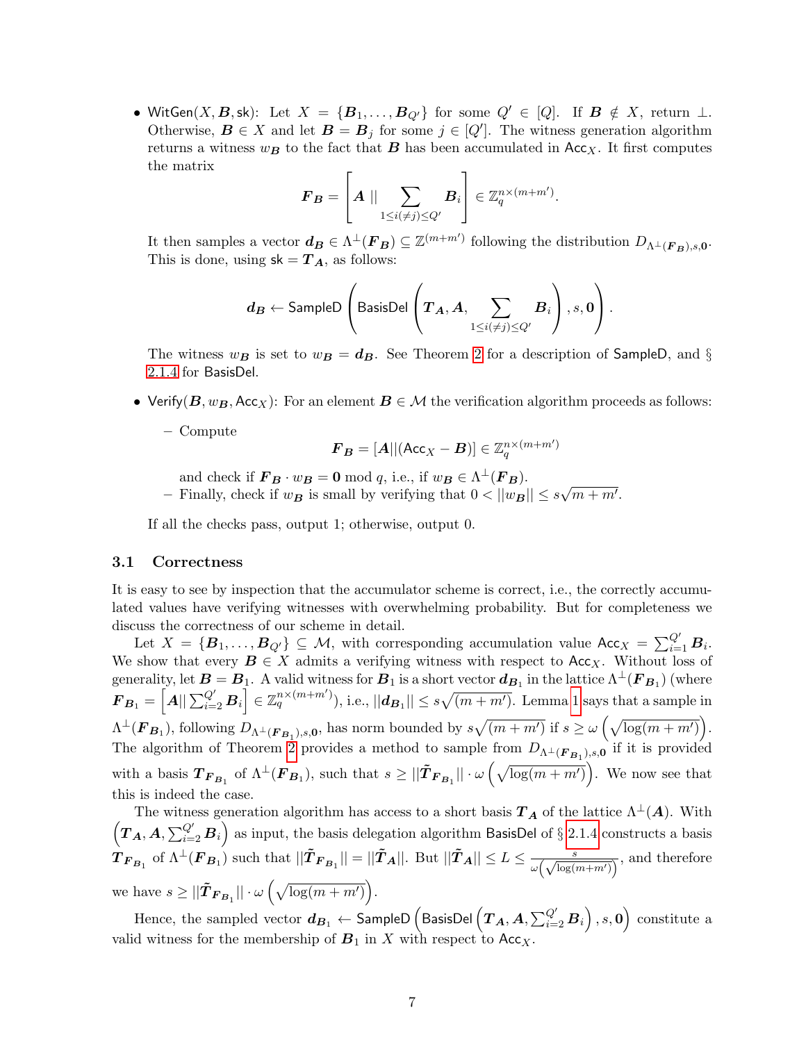• WitGen $(X, B, sk)$ : Let  $X = \{B_1, \ldots, B_{Q'}\}$  for some  $Q' \in [Q]$ . If  $B \notin X$ , return  $\perp$ . Otherwise,  $\mathbf{B} \in X$  and let  $\mathbf{B} = \mathbf{B}_j$  for some  $j \in [Q']$ . The witness generation algorithm returns a witness  $w_B$  to the fact that **B** has been accumulated in Acc<sub>X</sub>. It first computes the matrix

$$
\boldsymbol{F}_{\boldsymbol{B}} = \left[ \boldsymbol{A} \mid \mid \sum_{1 \leq i(\neq j) \leq Q'} \boldsymbol{B}_i \right] \in \mathbb{Z}_q^{n \times (m+m')}
$$

.

It then samples a vector  $d_B \in \Lambda^{\perp}(F_B) \subseteq \mathbb{Z}^{(m+m')}$  following the distribution  $D_{\Lambda^{\perp}(F_B),s,0}$ . This is done, using  $sk = T_A$ , as follows:

$$
\boldsymbol{d_B} \leftarrow \textsf{SampleD}\left(\textsf{BasisDel}\left(\boldsymbol{T_A}, \boldsymbol{A}, \sum_{1 \leq i(\neq j) \leq Q'} \boldsymbol{B}_i\right), s, \boldsymbol{0}\right).
$$

The witness  $w_B$  is set to  $w_B = d_B$ . See Theorem [2](#page-4-0) for a description of SampleD, and § [2.1.4](#page-4-1) for BasisDel.

• Verify( $B, w_B, Acc_X$ ): For an element  $B \in \mathcal{M}$  the verification algorithm proceeds as follows:

– Compute

$$
\boldsymbol{F}_{\boldsymbol{B}} = [\boldsymbol{A}]|(\mathsf{Acc}_{X}-\boldsymbol{B})] \in \mathbb{Z}^{n \times (m+m')}_{q}
$$

- and check if  $\mathbf{F}_B \cdot w_B = 0 \mod q$ , i.e., if  $w_B \in \Lambda^{\perp}(\mathbf{F}_B)$ .
- Finally, check if  $w_B$  is small by verifying that  $0 < ||w_B|| \leq s$ √  $\overline{m+m'}$ .

If all the checks pass, output 1; otherwise, output 0.

#### 3.1 Correctness

It is easy to see by inspection that the accumulator scheme is correct, i.e., the correctly accumulated values have verifying witnesses with overwhelming probability. But for completeness we discuss the correctness of our scheme in detail.

Let  $X = {\{\mathbf{B}_1,\ldots,\mathbf{B}_{Q'}\}} \subseteq \mathcal{M}$ , with corresponding accumulation value  $Acc_X = \sum_{i=1}^{Q'} \mathbf{B}_i$ . We show that every  $\mathbf{B} \in X$  admits a verifying witness with respect to Acc<sub>X</sub>. Without loss of generality, let  $B=B_1$ . A valid witness for  $B_1$  is a short vector  $d_{B_1}$  in the lattice  $\Lambda^\perp(\pmb{F}_{B_1})$  (where  $\boldsymbol{F}_{\boldsymbol{B}_1}=\left[\boldsymbol{A}||\sum_{i=2}^{Q'}\boldsymbol{B}_i\right]\in\mathbb{Z}_q^{n\times(m+m')}),$  i.e.,  $||\boldsymbol{d}_{\boldsymbol{B}_1}||\leq s\sqrt{(m+m')}$ . Lemma [1](#page-3-0) says that a sample in  $\Lambda^{\perp}(\mathbf{F}_{\mathbf{B}_1}),$  following  $D_{\Lambda^{\perp}(\mathbf{F}_{\mathbf{B}_1}),s,\mathbf{0}},$  has norm bounded by  $s\sqrt{(m+m')}$  if  $s \geq \omega\left(\sqrt{\log(m+m')}\right)$ . The algorithm of Theorem [2](#page-4-0) provides a method to sample from  $D_{\Lambda^{\perp}}(\mathbf{F}_{B_1}),$ ,  $\mathbf{F}_{0}$  if it is provided with a basis  $T_{F_{B_1}}$  of  $\Lambda^{\perp}(F_{B_1})$ , such that  $s \geq ||\tilde{T}_{F_{B_1}}|| \cdot \omega \left(\sqrt{\log(m+m')}\right)$ . We now see that this is indeed the case.

The witness generation algorithm has access to a short basis  $T_A$  of the lattice  $\Lambda^{\perp}(A)$ . With  $(T_A, A, \sum_{i=2}^{Q'} B_i)$  as input, the basis delegation algorithm BasisDel of § [2.1.4](#page-4-1) constructs a basis  $\hat{\boldsymbol{H}}_{\boldsymbol{F}_{\boldsymbol{B}_1}}$  of  $\Lambda^{\perp}(\boldsymbol{F}_{\boldsymbol{B}_1})$  such that  $||\tilde{\boldsymbol{T}}_{\boldsymbol{F}_{\boldsymbol{B}_1}}|| = ||\tilde{\boldsymbol{T}}_{\boldsymbol{A}}||$ . But  $||\tilde{\boldsymbol{T}}_{\boldsymbol{A}}|| \leq L \leq \frac{s}{\omega(\Lambda^{\text{log}(s)})}$  $\frac{s}{\omega(\sqrt{\log(m+m')})}$ , and therefore we have  $s \ge ||\tilde{\boldsymbol{T}}_{\boldsymbol{F}_{\boldsymbol{B}_1}}|| \cdot \omega \left(\sqrt{\log(m+m')}\right)$ .

Hence, the sampled vector  $d_{B_1}\leftarrow$  SampleD  $\left($  BasisDel  $\left( T_A, A, \sum_{i=2}^{Q'} B_i \right), s, \mathbf{0} \right)$  constitute a valid witness for the membership of  $B_1$  in X with respect to Acc<sub>X</sub>.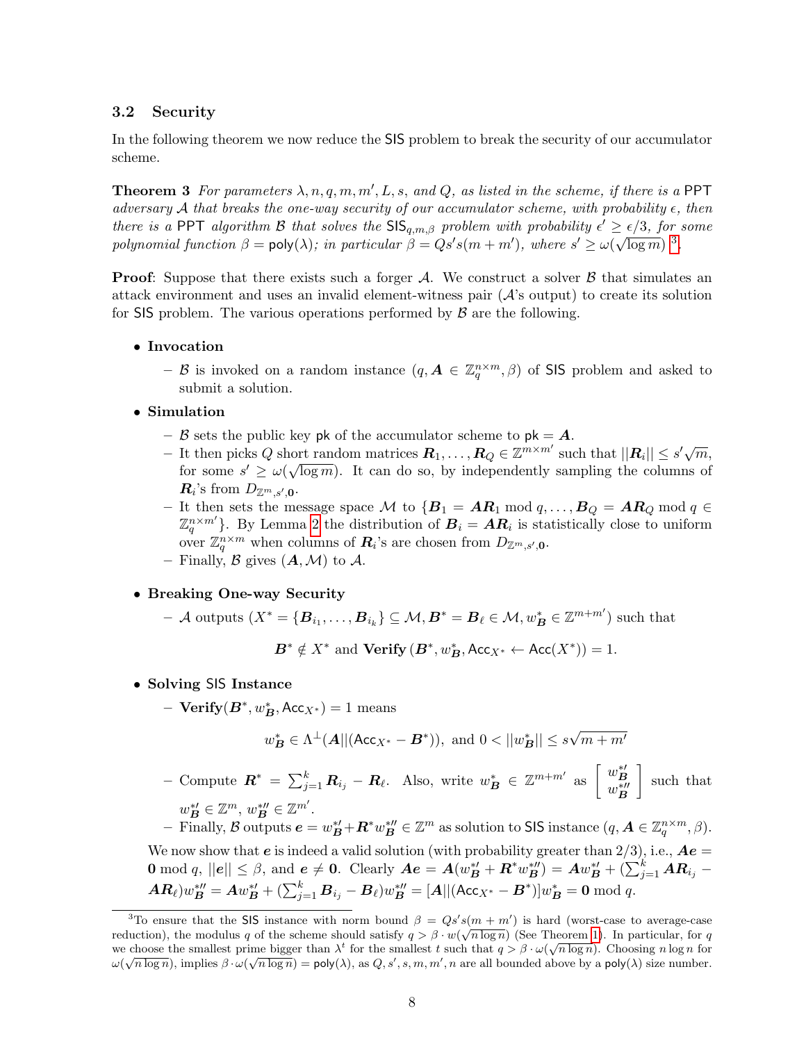#### <span id="page-7-0"></span>3.2 Security

In the following theorem we now reduce the SIS problem to break the security of our accumulator scheme.

**Theorem 3** For parameters  $\lambda$ ,  $n$ ,  $q$ ,  $m$ ,  $m'$ ,  $L$ ,  $s$ , and  $Q$ , as listed in the scheme, if there is a PPT adversary A that breaks the one-way security of our accumulator scheme, with probability  $\epsilon$ , then there is a PPT algorithm B that solves the  $\text{SIS}_{q,m,\beta}$  problem with probability  $\epsilon' \geq \epsilon/3$ , for some polynomial function  $\beta = \text{poly}(\lambda)$ ; in particular  $\beta = Qs's(m+m')$ , where  $s' \ge \omega(\sqrt{\log m})^{-3}$  $s' \ge \omega(\sqrt{\log m})^{-3}$  $s' \ge \omega(\sqrt{\log m})^{-3}$ .

**Proof:** Suppose that there exists such a forger  $\mathcal{A}$ . We construct a solver  $\mathcal{B}$  that simulates an attack environment and uses an invalid element-witness pair  $(A$ 's output) to create its solution for SIS problem. The various operations performed by  $\beta$  are the following.

• Invocation

- B is invoked on a random instance  $(q, \mathbf{A} \in \mathbb{Z}_q^{n \times m}, \beta)$  of SIS problem and asked to submit a solution.

- Simulation
	- B sets the public key pk of the accumulator scheme to  $pk = A$ .
	- *D* sets the public key pk of the accumulator scheme to pk **A**.<br>
	It then picks Q short random matrices  $\mathbf{R}_1, \ldots, \mathbf{R}_Q \in \mathbb{Z}^{m \times m'}$  such that  $||\mathbf{R}_i|| \leq s' \sqrt{m}$ , for some  $s' \ge \omega(\sqrt{\log m})$ . It can do so, by independently sampling the columns of  $\boldsymbol{R}_i$ 's from  $D_{\mathbb{Z}^m,s',\boldsymbol{0}}$ .
	- It then sets the message space  $M$  to  ${B_1 = AR_1 \bmod q, ..., B_Q = AR_Q \bmod q}$  ∈  $\mathbb{Z}_q^{n \times m'}$ . By Lemma [2](#page-4-2) the distribution of  $\mathbf{B}_i = \mathbf{A}\mathbf{R}_i$  is statistically close to uniform over  $\mathbb{Z}_q^{n \times m}$  when columns of  $\mathbf{R}_i$ 's are chosen from  $D_{\mathbb{Z}^m,s',0}$ .
	- Finally, B gives  $(A, \mathcal{M})$  to A.

• Breaking One-way Security

 $-$  A outputs  $(X^* = {\mathbf{B}_{i_1}, \ldots, \mathbf{B}_{i_k}} \subseteq M, \mathbf{B}^* = \mathbf{B}_{\ell} \in \mathcal{M}, w^*_{\mathbf{B}} \in \mathbb{Z}^{m+m'}$  such that

 $\mathbf{B}^* \notin X^*$  and  $\mathbf{Verify}(\mathbf{B}^*, w^*_{\mathbf{B}}, \mathsf{Acc}_{X^*} \leftarrow \mathsf{Acc}(X^*)) = 1.$ 

- Solving SIS Instance
	- $-$  Verify $(B^*, w_B^*, \text{Acc}_{X^*}) = 1$  means

$$
w^*_{\mathbf{B}} \in \Lambda^{\perp}(\mathbf{A} || (\mathsf{Acc}_{X^*} - \mathbf{B}^*)), \text{ and } 0 < ||w^*_{\mathbf{B}}|| \le s\sqrt{m+m'}
$$

− Compute  $\boldsymbol{R}^* = \sum_{j=1}^k \boldsymbol{R}_{i_j} - \boldsymbol{R}_{\ell}$ . Also, write  $w_{\boldsymbol{B}}^* \in \mathbb{Z}^{m+m'}$  as  $\begin{bmatrix} w_{\boldsymbol{B}}^{*'} & w_{\boldsymbol{B}}^{*'} \end{bmatrix}$  such that  $w_{\mathbf{B}}^{\ast\prime} \in \mathbb{Z}^m$ ,  $w_{\mathbf{B}}^{\ast\prime\prime} \in \mathbb{Z}^{m'}$ .

 $\mathcal{F} = \text{Finally, } \mathcal{B} \text{ outputs } \mathbf{e} = w_{\mathbf{B}}^{* \mu} + \mathbf{R}^{*} w_{\mathbf{B}}^{* \mu} \in \mathbb{Z}^{m} \text{ as solution to SIS instance } (q, \mathbf{A} \in \mathbb{Z}_q^{n \times m}, \beta).$ 

We now show that  $e$  is indeed a valid solution (with probability greater than  $2/3$ ), i.e.,  $Ae =$ **0** mod q,  $||e|| \leq \beta$ , and  $e \neq 0$ . Clearly  $Ae = A(w_B^{*\prime} + R^*w_B^{*\prime\prime}) = Aw_B^{*\prime} + (\sum_{j=1}^k AR_{i_j} \bm{A} \bm{R}_{\ell} ) w_{\bm{B}}^{*\prime \prime} = \bm{A} w_{\bm{B}}^{*\prime} + ( \sum_{j=1}^k \bm{B}_{i_j} - \bm{B}_{\ell} )w_{\bm{B}}^{*\prime \prime} = [\bm{A} || (\mathsf{Acc}_{X^*} - \bm{B}^*)] w_{\bm{B}}^* = \bm{0} \bmod q.$ 

<span id="page-7-1"></span><sup>&</sup>lt;sup>3</sup>To ensure that the SIS instance with norm bound  $\beta = Qs's(m+m')$  is hard (worst-case to average-case reduction), the modulus q of the scheme should satisfy  $q > \beta \cdot w(\sqrt{n \log n})$  (See Theorem [1\)](#page-3-1). In particular, for q we choose the smallest prime bigger than  $\lambda^t$  for the smallest t such that  $q > \beta \cdot \omega(\sqrt{n \log n})$ . Choosing n log n for  $\omega(\sqrt{n \log n})$ , implies  $\beta \cdot \omega(\sqrt{n \log n}) = \text{poly}(\lambda)$ , as  $Q, s', s, m, m', n$  are all bounded above by a  $\text{poly}(\lambda)$  size number.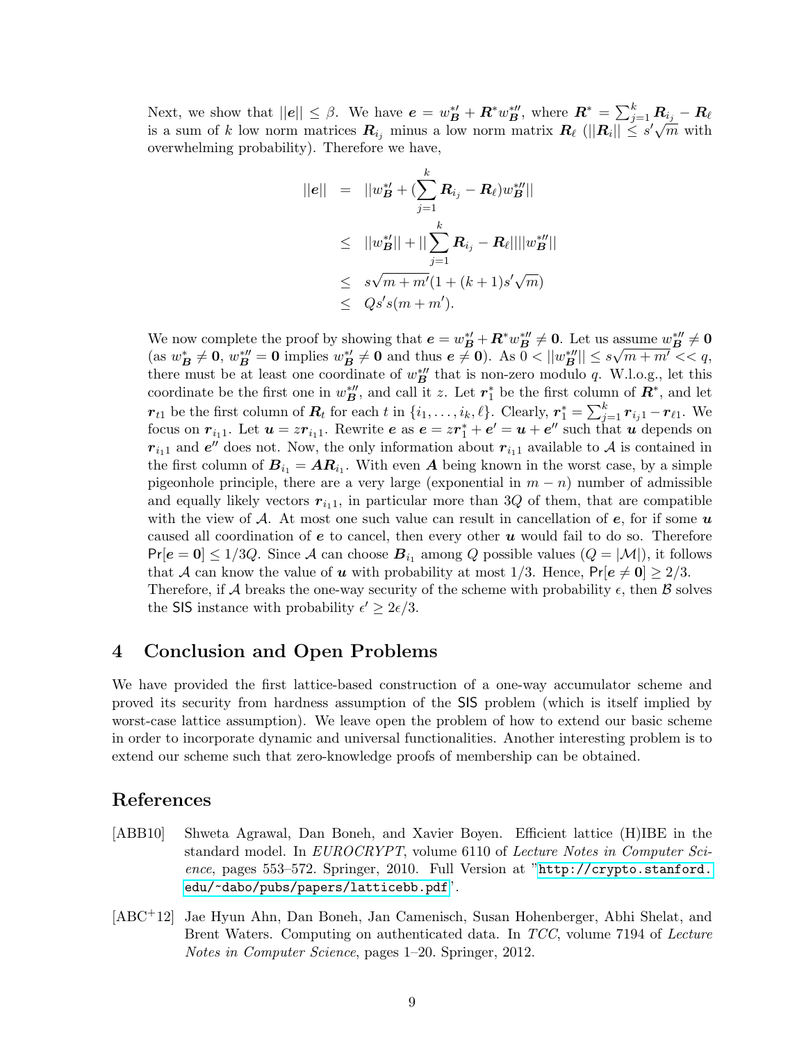Next, we show that  $||e|| \leq \beta$ . We have  $e = w_B^{*\prime} + R^* w_B^{*\prime\prime}$ , where  $R^* = \sum_{j=1}^k R_{i_j} - R_{\ell}$ is a sum of k low norm matrices  $R_{i_j}$  minus a low norm matrix  $R_\ell$  ( $||R_i|| \le s' \sqrt{m}$  with overwhelming probability). Therefore we have,

$$
||e|| = ||w_B^{*'} + (\sum_{j=1}^k \mathbf{R}_{i_j} - \mathbf{R}_{\ell})w_B^{*''}||
$$
  
\n
$$
\leq ||w_B^{*'}|| + ||\sum_{j=1}^k \mathbf{R}_{i_j} - \mathbf{R}_{\ell}|| ||w_B^{*''}||
$$
  
\n
$$
\leq s\sqrt{m+m'}(1+(k+1)s'\sqrt{m})
$$
  
\n
$$
\leq Qs's(m+m').
$$

We now complete the proof by showing that  $e = w_B^{*\prime} + R^* w_B^{*\prime\prime} \neq 0$ . Let us assume  $w_B^{*\prime\prime} \neq 0$  $(\text{as } w_B^* \neq \mathbf{0}, w_B^{*\prime\prime} = \mathbf{0} \text{ implies } w_B^{*\prime} \neq \mathbf{0} \text{ and thus } \mathbf{e} \neq \mathbf{0}).$  As  $\overline{0} < ||w_B^{*\prime\prime}|| \leq s\sqrt{m+m'} < \langle q,$ there must be at least one coordinate of  $w_B^{*\prime\prime}$  that is non-zero modulo q. W.l.o.g., let this coordinate be the first one in  $w_{\mathbf{B}}^{*\prime\prime}$ , and call it z. Let  $r_1^*$  be the first column of  $\mathbf{R}^*$ , and let  $r_{t1}$  be the first column of  $R_t$  for each t in  $\{i_1, \ldots, i_k, \ell\}$ . Clearly,  $r_1^* = \sum_{j=1}^k r_{i_j 1} - r_{\ell 1}$ . We focus on  $r_{i_1 1}$ . Let  $u = z r_{i_1 1}$ . Rewrite  $e$  as  $e = z r_1^* + e' = u + e''$  such that  $u$  depends on  $r_{i_11}$  and  $e''$  does not. Now, the only information about  $r_{i_11}$  available to A is contained in the first column of  $B_{i_1} = AR_{i_1}$ . With even A being known in the worst case, by a simple pigeonhole principle, there are a very large (exponential in  $m - n$ ) number of admissible and equally likely vectors  $r_{i_1},$  in particular more than 3Q of them, that are compatible with the view of A. At most one such value can result in cancellation of  $e$ , for if some  $u$ caused all coordination of  $e$  to cancel, then every other  $u$  would fail to do so. Therefore  $Pr[e = 0] \le 1/3Q$ . Since A can choose  $B_{i_1}$  among Q possible values  $(Q = |M|)$ , it follows that A can know the value of u with probability at most 1/3. Hence,  $Pr[e \neq 0] \geq 2/3$ . Therefore, if A breaks the one-way security of the scheme with probability  $\epsilon$ , then B solves the SIS instance with probability  $\epsilon' \geq 2\epsilon/3$ .

# 4 Conclusion and Open Problems

We have provided the first lattice-based construction of a one-way accumulator scheme and proved its security from hardness assumption of the SIS problem (which is itself implied by worst-case lattice assumption). We leave open the problem of how to extend our basic scheme in order to incorporate dynamic and universal functionalities. Another interesting problem is to extend our scheme such that zero-knowledge proofs of membership can be obtained.

## References

- <span id="page-8-1"></span>[ABB10] Shweta Agrawal, Dan Boneh, and Xavier Boyen. Efficient lattice (H)IBE in the standard model. In EUROCRYPT, volume 6110 of Lecture Notes in Computer Science, pages 553–572. Springer, 2010. Full Version at "[http://crypto.stanford.](http://crypto.stanford.edu/~dabo/pubs/papers/latticebb.pdf) [edu/~dabo/pubs/papers/latticebb.pdf](http://crypto.stanford.edu/~dabo/pubs/papers/latticebb.pdf)".
- <span id="page-8-0"></span>[ABC+12] Jae Hyun Ahn, Dan Boneh, Jan Camenisch, Susan Hohenberger, Abhi Shelat, and Brent Waters. Computing on authenticated data. In TCC, volume 7194 of Lecture Notes in Computer Science, pages 1–20. Springer, 2012.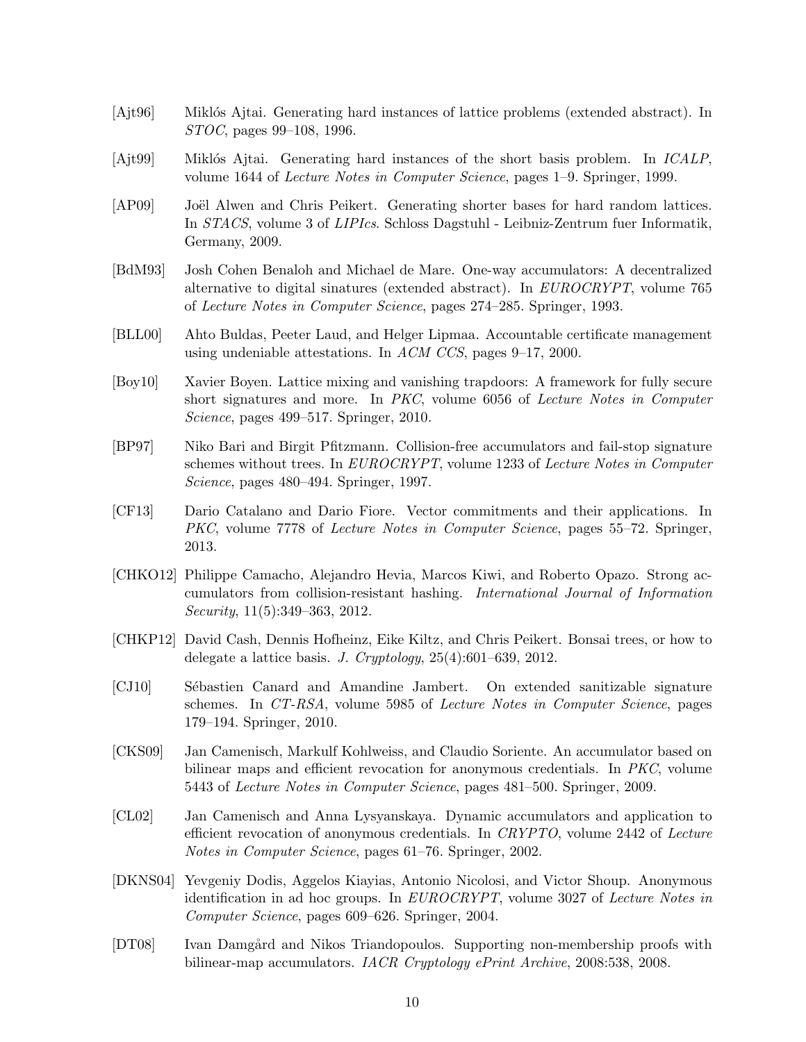- <span id="page-9-12"></span>[Ajt96] Miklós Ajtai. Generating hard instances of lattice problems (extended abstract). In STOC, pages 99–108, 1996.
- <span id="page-9-13"></span>[Ajt99] Miklós Ajtai. Generating hard instances of the short basis problem. In *ICALP*, volume 1644 of Lecture Notes in Computer Science, pages 1–9. Springer, 1999.
- <span id="page-9-14"></span>[AP09] Joël Alwen and Chris Peikert. Generating shorter bases for hard random lattices. In STACS, volume 3 of LIPIcs. Schloss Dagstuhl - Leibniz-Zentrum fuer Informatik, Germany, 2009.
- <span id="page-9-0"></span>[BdM93] Josh Cohen Benaloh and Michael de Mare. One-way accumulators: A decentralized alternative to digital sinatures (extended abstract). In EUROCRYPT, volume 765 of Lecture Notes in Computer Science, pages 274–285. Springer, 1993.
- <span id="page-9-9"></span>[BLL00] Ahto Buldas, Peeter Laud, and Helger Lipmaa. Accountable certificate management using undeniable attestations. In ACM CCS, pages 9–17, 2000.
- <span id="page-9-10"></span>[Boy10] Xavier Boyen. Lattice mixing and vanishing trapdoors: A framework for fully secure short signatures and more. In PKC, volume 6056 of Lecture Notes in Computer Science, pages 499–517. Springer, 2010.
- <span id="page-9-4"></span>[BP97] Niko Bari and Birgit Pfitzmann. Collision-free accumulators and fail-stop signature schemes without trees. In EUROCRYPT, volume 1233 of Lecture Notes in Computer Science, pages 480–494. Springer, 1997.
- <span id="page-9-7"></span>[CF13] Dario Catalano and Dario Fiore. Vector commitments and their applications. In PKC, volume 7778 of Lecture Notes in Computer Science, pages 55–72. Springer, 2013.
- <span id="page-9-8"></span>[CHKO12] Philippe Camacho, Alejandro Hevia, Marcos Kiwi, and Roberto Opazo. Strong accumulators from collision-resistant hashing. International Journal of Information Security, 11(5):349–363, 2012.
- <span id="page-9-11"></span>[CHKP12] David Cash, Dennis Hofheinz, Eike Kiltz, and Chris Peikert. Bonsai trees, or how to delegate a lattice basis. J. Cryptology, 25(4):601–639, 2012.
- <span id="page-9-3"></span>[CJ10] S´ebastien Canard and Amandine Jambert. On extended sanitizable signature schemes. In CT-RSA, volume 5985 of Lecture Notes in Computer Science, pages 179–194. Springer, 2010.
- <span id="page-9-1"></span>[CKS09] Jan Camenisch, Markulf Kohlweiss, and Claudio Soriente. An accumulator based on bilinear maps and efficient revocation for anonymous credentials. In PKC, volume 5443 of Lecture Notes in Computer Science, pages 481–500. Springer, 2009.
- <span id="page-9-5"></span>[CL02] Jan Camenisch and Anna Lysyanskaya. Dynamic accumulators and application to efficient revocation of anonymous credentials. In CRYPTO, volume 2442 of Lecture Notes in Computer Science, pages 61–76. Springer, 2002.
- <span id="page-9-2"></span>[DKNS04] Yevgeniy Dodis, Aggelos Kiayias, Antonio Nicolosi, and Victor Shoup. Anonymous identification in ad hoc groups. In EUROCRYPT, volume 3027 of Lecture Notes in Computer Science, pages 609–626. Springer, 2004.
- <span id="page-9-6"></span>[DT08] Ivan Damgård and Nikos Triandopoulos. Supporting non-membership proofs with bilinear-map accumulators. IACR Cryptology ePrint Archive, 2008:538, 2008.